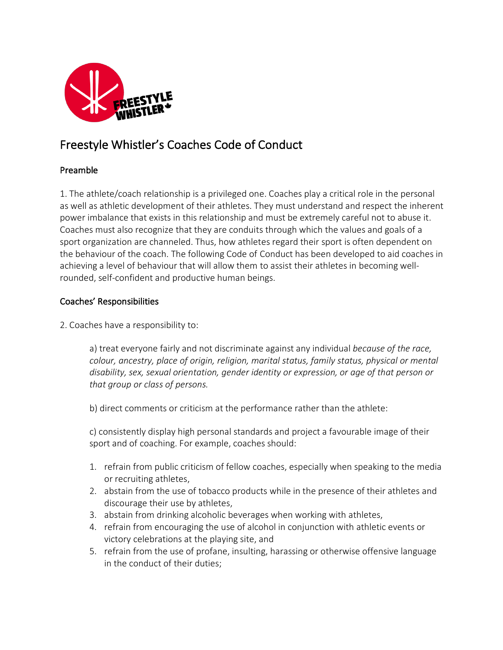

# Freestyle Whistler's Coaches Code of Conduct

## Preamble

1. The athlete/coach relationship is a privileged one. Coaches play a critical role in the personal as well as athletic development of their athletes. They must understand and respect the inherent power imbalance that exists in this relationship and must be extremely careful not to abuse it. Coaches must also recognize that they are conduits through which the values and goals of a sport organization are channeled. Thus, how athletes regard their sport is often dependent on the behaviour of the coach. The following Code of Conduct has been developed to aid coaches in achieving a level of behaviour that will allow them to assist their athletes in becoming wellrounded, self-confident and productive human beings.

## Coaches' Responsibilities

2. Coaches have a responsibility to:

a) treat everyone fairly and not discriminate against any individual *because of the race, colour, ancestry, place of origin, religion, marital status, family status, physical or mental disability, sex, sexual orientation, gender identity or expression, or age of that person or that group or class of persons.*

b) direct comments or criticism at the performance rather than the athlete:

c) consistently display high personal standards and project a favourable image of their sport and of coaching. For example, coaches should:

- 1. refrain from public criticism of fellow coaches, especially when speaking to the media or recruiting athletes,
- 2. abstain from the use of tobacco products while in the presence of their athletes and discourage their use by athletes,
- 3. abstain from drinking alcoholic beverages when working with athletes,
- 4. refrain from encouraging the use of alcohol in conjunction with athletic events or victory celebrations at the playing site, and
- 5. refrain from the use of profane, insulting, harassing or otherwise offensive language in the conduct of their duties;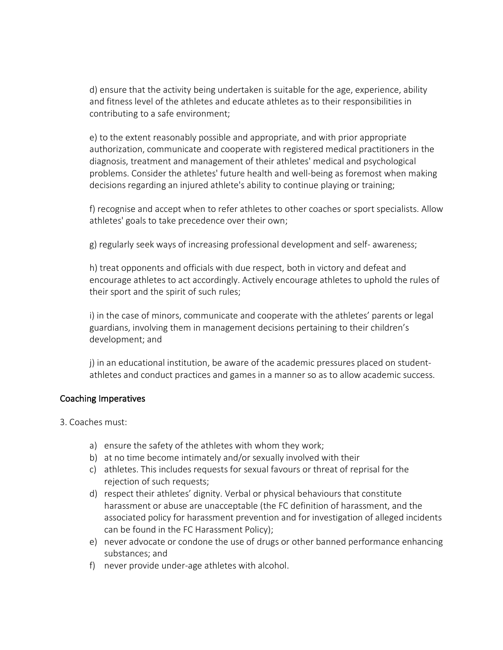d) ensure that the activity being undertaken is suitable for the age, experience, ability and fitness level of the athletes and educate athletes as to their responsibilities in contributing to a safe environment;

e) to the extent reasonably possible and appropriate, and with prior appropriate authorization, communicate and cooperate with registered medical practitioners in the diagnosis, treatment and management of their athletes' medical and psychological problems. Consider the athletes' future health and well-being as foremost when making decisions regarding an injured athlete's ability to continue playing or training;

f) recognise and accept when to refer athletes to other coaches or sport specialists. Allow athletes' goals to take precedence over their own;

g) regularly seek ways of increasing professional development and self- awareness;

h) treat opponents and officials with due respect, both in victory and defeat and encourage athletes to act accordingly. Actively encourage athletes to uphold the rules of their sport and the spirit of such rules;

i) in the case of minors, communicate and cooperate with the athletes' parents or legal guardians, involving them in management decisions pertaining to their children's development; and

j) in an educational institution, be aware of the academic pressures placed on studentathletes and conduct practices and games in a manner so as to allow academic success.

#### Coaching Imperatives

- 3. Coaches must:
	- a) ensure the safety of the athletes with whom they work;
	- b) at no time become intimately and/or sexually involved with their
	- c) athletes. This includes requests for sexual favours or threat of reprisal for the rejection of such requests;
	- d) respect their athletes' dignity. Verbal or physical behaviours that constitute harassment or abuse are unacceptable (the FC definition of harassment, and the associated policy for harassment prevention and for investigation of alleged incidents can be found in the FC Harassment Policy);
	- e) never advocate or condone the use of drugs or other banned performance enhancing substances; and
	- f) never provide under-age athletes with alcohol.